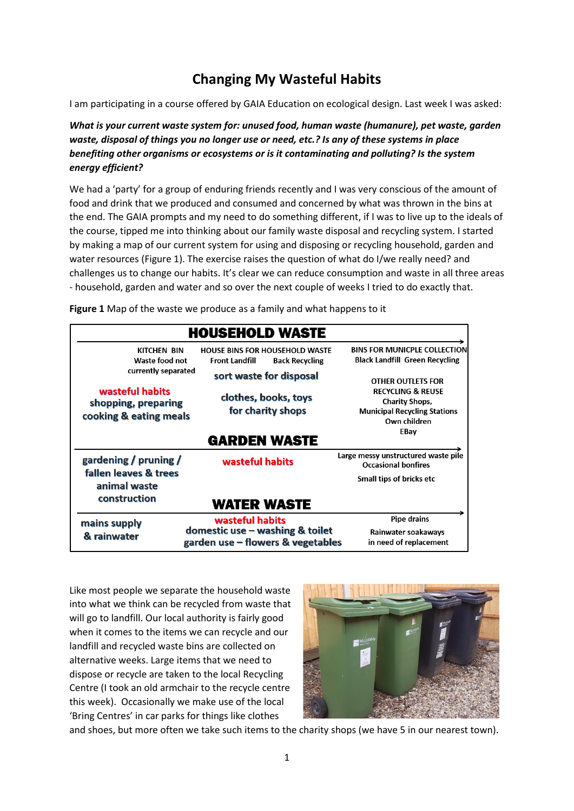# **Changing My Wasteful Habits**

I am participating in a course offered by GAIA Education on ecological design. Last week I was asked:

*What is your current waste system for: unused food, human waste (humanure), pet waste, garden waste, disposal of things you no longer use or need, etc.? Is any of these systems in place benefiting other organisms or ecosystems or is it contaminating and polluting? Is the system energy efficient?*

We had a 'party' for a group of enduring friends recently and I was very conscious of the amount of food and drink that we produced and consumed and concerned by what was thrown in the bins at the end. The GAIA prompts and my need to do something different, if I was to live up to the ideals of the course, tipped me into thinking about our family waste disposal and recycling system. I started by making a map of our current system for using and disposing or recycling household, garden and water resources (Figure 1). The exercise raises the question of what do I/we really need? and challenges us to change our habits. It's clear we can reduce consumption and waste in all three areas - household, garden and water and so over the next couple of weeks I tried to do exactly that.

|                                                                  | <b>HOUSEHOLD WASTE</b>                                                                  |                                                                                                              |
|------------------------------------------------------------------|-----------------------------------------------------------------------------------------|--------------------------------------------------------------------------------------------------------------|
| <b>KITCHEN BIN</b><br>Waste food not                             | <b>HOUSE BINS FOR HOUSEHOLD WASTE</b><br><b>Front Landfill</b><br><b>Back Recycling</b> | <b>BINS FOR MUNICPLE COLLECTION</b><br><b>Black Landfill Green Recycling</b>                                 |
| currently separated                                              | sort waste for disposal                                                                 | <b>OTHER OUTLETS FOR</b>                                                                                     |
| wasteful habits<br>shopping, preparing<br>cooking & eating meals | clothes, books, toys<br>for charity shops                                               | <b>RECYCLING &amp; REUSE</b><br><b>Charity Shops,</b><br><b>Municipal Recycling Stations</b><br>Own children |
|                                                                  | <b>GARDEN WASTE</b>                                                                     | EBay                                                                                                         |
| gardening / pruning /<br>fallen leaves & trees<br>animal waste   | wasteful habits                                                                         | Large messy unstructured waste pile<br><b>Occasional bonfires</b>                                            |
|                                                                  |                                                                                         | Small tips of bricks etc                                                                                     |
| construction                                                     | WATER WASTE                                                                             |                                                                                                              |
| mains supply<br>& rainwater                                      | wasteful habits                                                                         | <b>Pipe drains</b>                                                                                           |
|                                                                  | domestic use $-$ washing & toilet<br>garden use - flowers & vegetables                  | Rainwater soakaways<br>in need of replacement                                                                |

**Figure 1** Map of the waste we produce as a family and what happens to it

Like most people we separate the household waste into what we think can be recycled from waste that will go to landfill. Our local authority is fairly good when it comes to the items we can recycle and our landfill and recycled waste bins are collected on alternative weeks. Large items that we need to dispose or recycle are taken to the local Recycling Centre (I took an old armchair to the recycle centre this week). Occasionally we make use of the local 'Bring Centres' in car parks for things like clothes



and shoes, but more often we take such items to the charity shops (we have 5 in our nearest town).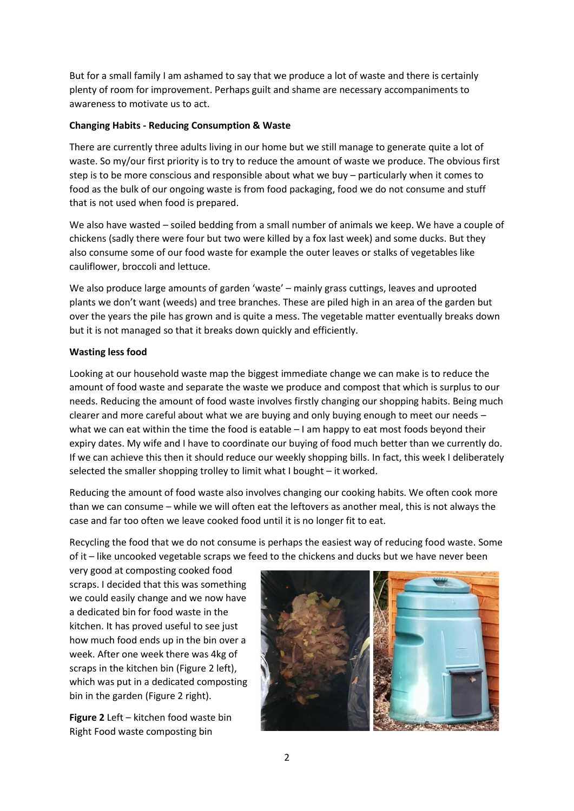But for a small family I am ashamed to say that we produce a lot of waste and there is certainly plenty of room for improvement. Perhaps guilt and shame are necessary accompaniments to awareness to motivate us to act.

## **Changing Habits - Reducing Consumption & Waste**

There are currently three adults living in our home but we still manage to generate quite a lot of waste. So my/our first priority is to try to reduce the amount of waste we produce. The obvious first step is to be more conscious and responsible about what we buy – particularly when it comes to food as the bulk of our ongoing waste is from food packaging, food we do not consume and stuff that is not used when food is prepared.

We also have wasted – soiled bedding from a small number of animals we keep. We have a couple of chickens (sadly there were four but two were killed by a fox last week) and some ducks. But they also consume some of our food waste for example the outer leaves or stalks of vegetables like cauliflower, broccoli and lettuce.

We also produce large amounts of garden 'waste' – mainly grass cuttings, leaves and uprooted plants we don't want (weeds) and tree branches. These are piled high in an area of the garden but over the years the pile has grown and is quite a mess. The vegetable matter eventually breaks down but it is not managed so that it breaks down quickly and efficiently.

### **Wasting less food**

Looking at our household waste map the biggest immediate change we can make is to reduce the amount of food waste and separate the waste we produce and compost that which is surplus to our needs. Reducing the amount of food waste involves firstly changing our shopping habits. Being much clearer and more careful about what we are buying and only buying enough to meet our needs – what we can eat within the time the food is eatable – I am happy to eat most foods beyond their expiry dates. My wife and I have to coordinate our buying of food much better than we currently do. If we can achieve this then it should reduce our weekly shopping bills. In fact, this week I deliberately selected the smaller shopping trolley to limit what I bought – it worked.

Reducing the amount of food waste also involves changing our cooking habits. We often cook more than we can consume – while we will often eat the leftovers as another meal, this is not always the case and far too often we leave cooked food until it is no longer fit to eat.

Recycling the food that we do not consume is perhaps the easiest way of reducing food waste. Some of it – like uncooked vegetable scraps we feed to the chickens and ducks but we have never been

very good at composting cooked food scraps. I decided that this was something we could easily change and we now have a dedicated bin for food waste in the kitchen. It has proved useful to see just how much food ends up in the bin over a week. After one week there was 4kg of scraps in the kitchen bin (Figure 2 left), which was put in a dedicated composting bin in the garden (Figure 2 right).

**Figure 2** Left – kitchen food waste bin Right Food waste composting bin

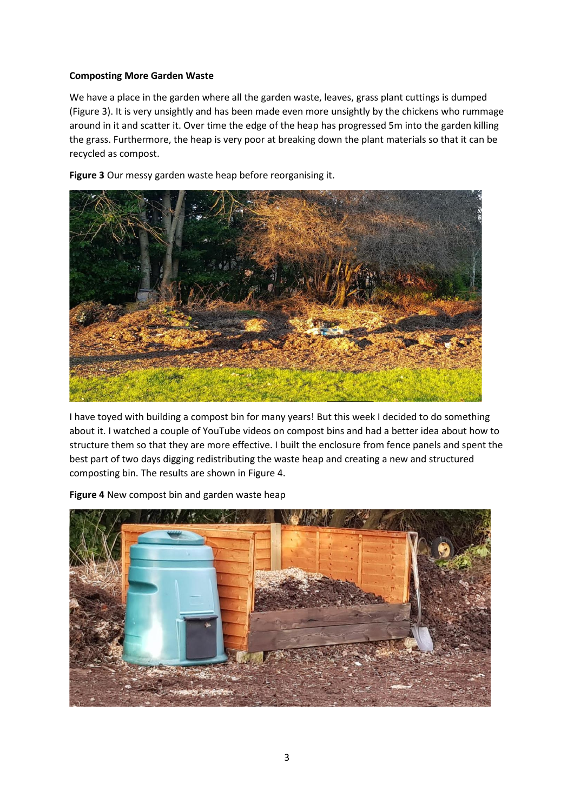## **Composting More Garden Waste**

We have a place in the garden where all the garden waste, leaves, grass plant cuttings is dumped (Figure 3). It is very unsightly and has been made even more unsightly by the chickens who rummage around in it and scatter it. Over time the edge of the heap has progressed 5m into the garden killing the grass. Furthermore, the heap is very poor at breaking down the plant materials so that it can be recycled as compost.

**Figure 3** Our messy garden waste heap before reorganising it.



I have toyed with building a compost bin for many years! But this week I decided to do something about it. I watched a couple of YouTube videos on compost bins and had a better idea about how to structure them so that they are more effective. I built the enclosure from fence panels and spent the best part of two days digging redistributing the waste heap and creating a new and structured composting bin. The results are shown in Figure 4.

**Figure 4** New compost bin and garden waste heap

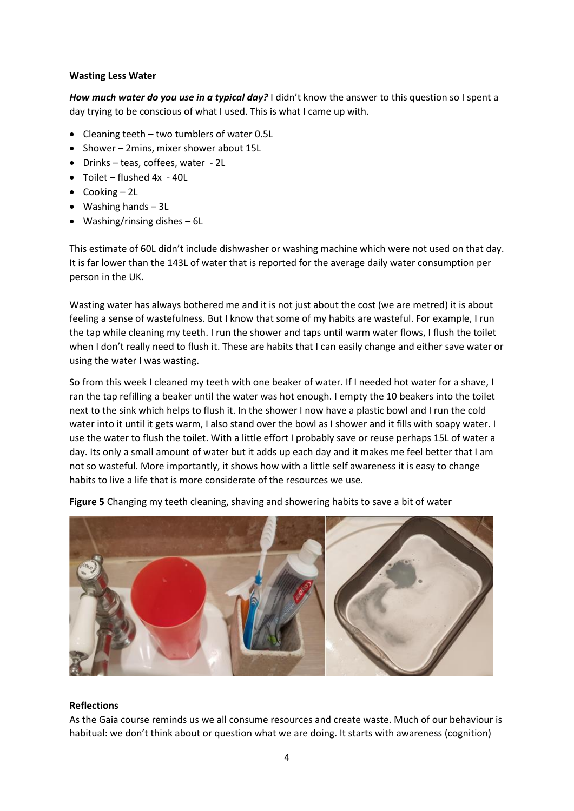#### **Wasting Less Water**

*How much water do you use in a typical day?* I didn't know the answer to this question so I spent a day trying to be conscious of what I used. This is what I came up with.

- Cleaning teeth two tumblers of water 0.5L
- Shower 2mins, mixer shower about 15L
- Drinks teas, coffees, water 2L
- Toilet flushed 4x 40L
- Cooking 2L
- Washing hands 3L
- Washing/rinsing dishes 6L

This estimate of 60L didn't include dishwasher or washing machine which were not used on that day. It is far lower than the 143L of water that is reported for the average daily water consumption per person in the UK.

Wasting water has always bothered me and it is not just about the cost (we are metred) it is about feeling a sense of wastefulness. But I know that some of my habits are wasteful. For example, I run the tap while cleaning my teeth. I run the shower and taps until warm water flows, I flush the toilet when I don't really need to flush it. These are habits that I can easily change and either save water or using the water I was wasting.

So from this week I cleaned my teeth with one beaker of water. If I needed hot water for a shave, I ran the tap refilling a beaker until the water was hot enough. I empty the 10 beakers into the toilet next to the sink which helps to flush it. In the shower I now have a plastic bowl and I run the cold water into it until it gets warm, I also stand over the bowl as I shower and it fills with soapy water. I use the water to flush the toilet. With a little effort I probably save or reuse perhaps 15L of water a day. Its only a small amount of water but it adds up each day and it makes me feel better that I am not so wasteful. More importantly, it shows how with a little self awareness it is easy to change habits to live a life that is more considerate of the resources we use.



**Figure 5** Changing my teeth cleaning, shaving and showering habits to save a bit of water

#### **Reflections**

As the Gaia course reminds us we all consume resources and create waste. Much of our behaviour is habitual: we don't think about or question what we are doing. It starts with awareness (cognition)